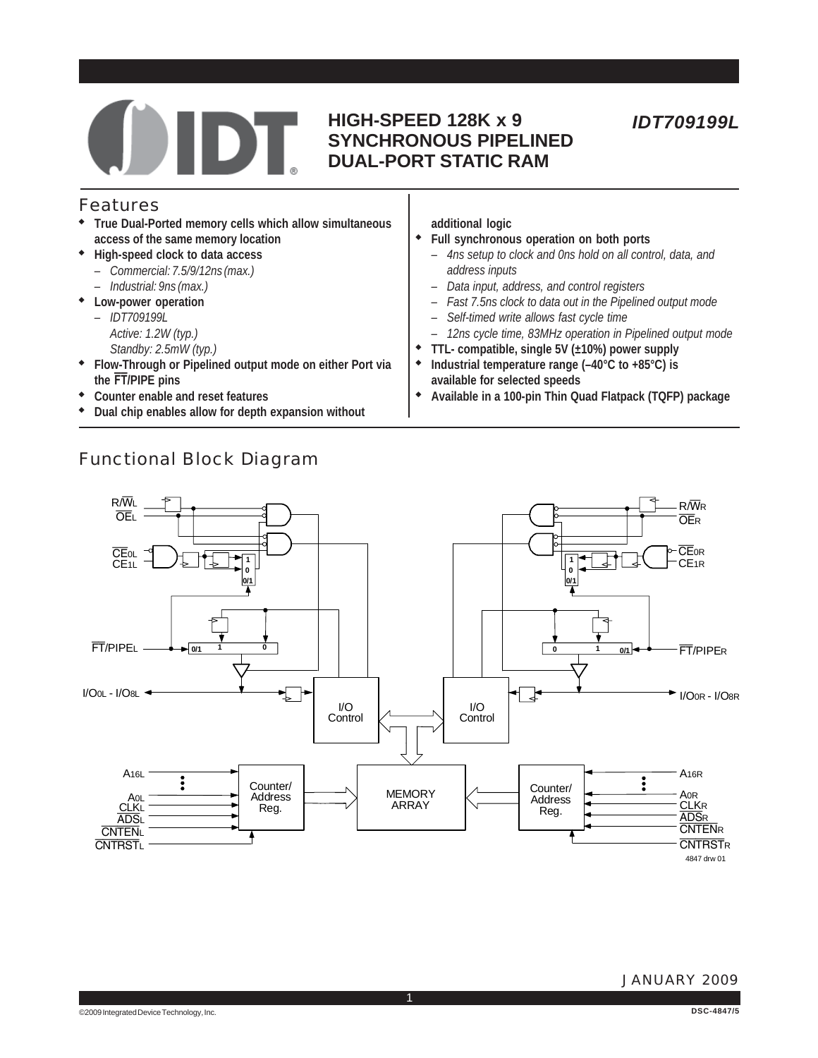

### **HIGH-SPEED 128K x 9 SYNCHRONOUS PIPELINED DUAL-PORT STATIC RAM**

### Features

- ◆ **True Dual-Ported memory cells which allow simultaneous access of the same memory location**
- ◆ **High-speed clock to data access**
	- *Commercial: 7.5/9/12ns (max.)*
	- *Industrial: 9ns (max.)*
- ◆ **Low-power operation**
	- *IDT709199L*
	- *Active: 1.2W (typ.)*
	- *Standby: 2.5mW (typ.)*
- ◆ **Flow-Through or Pipelined output mode on either Port via the FT/PIPE pins**
- ◆ **Counter enable and reset features**
- ◆ **Dual chip enables allow for depth expansion without**

### Functional Block Diagram

- **additional logic**
- ◆ **Full synchronous operation on both ports** *– 4ns setup to clock and 0ns hold on all control, data, and address inputs*
	- *Data input, address, and control registers*
	- *Fast 7.5ns clock to data out in the Pipelined output mode*
	- *Self-timed write allows fast cycle time*
	- *12ns cycle time, 83MHz operation in Pipelined output mode*
- ◆ **TTL- compatible, single 5V (±10%) power supply**
- Industrial temperature range (-40°C to +85°C) is **available for selected speeds**
- ◆ **Available in a 100-pin Thin Quad Flatpack (TQFP) package**



1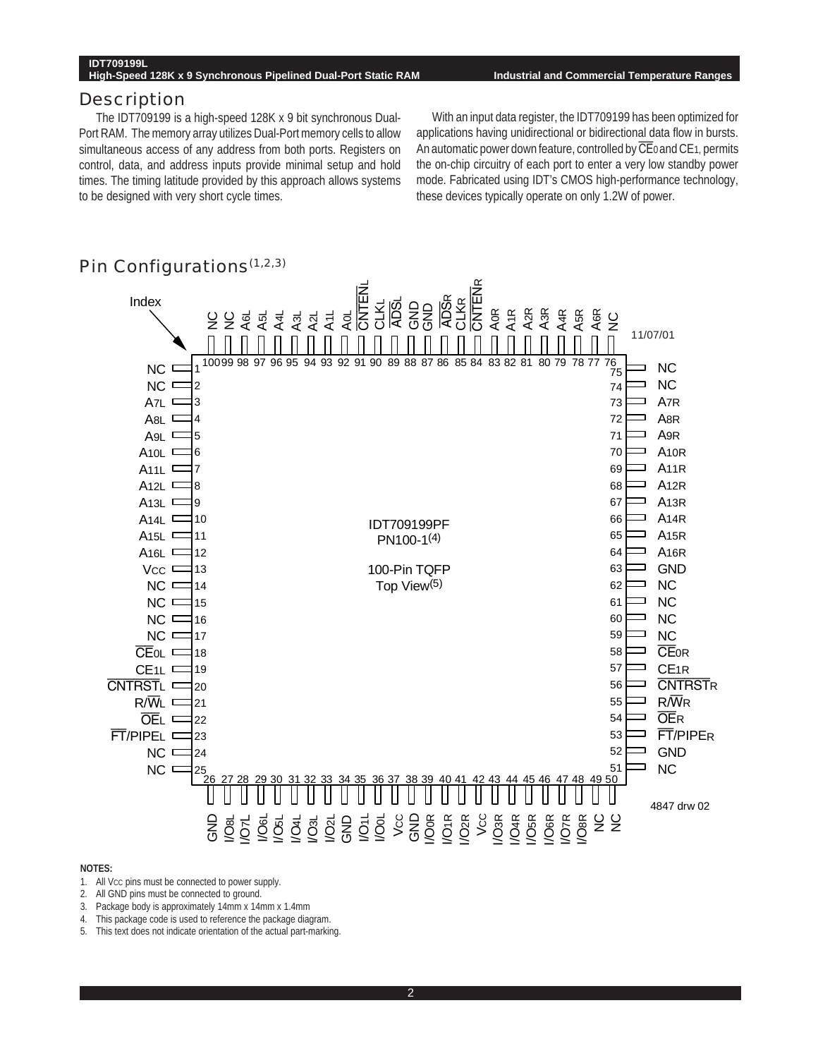#### **High-Speed 128K x 9 Synchronous Pipelined Dual-Port Static RAM Industrial and Commercial Temperature Ranges**

#### **Description**

The IDT709199 is a high-speed 128K x 9 bit synchronous Dual-Port RAM. The memory array utilizes Dual-Port memory cells to allow simultaneous access of any address from both ports. Registers on control, data, and address inputs provide minimal setup and hold times. The timing latitude provided by this approach allows systems to be designed with very short cycle times.

With an input data register, the IDT709199 has been optimized for applications having unidirectional or bidirectional data flow in bursts. An automatic power down feature, controlled by  $\overline{\text{CE}}$  and CE<sub>1</sub>, permits the on-chip circuitry of each port to enter a very low standby power mode. Fabricated using IDT's CMOS high-performance technology, these devices typically operate on only 1.2W of power.



### Pin Configurations $(1,2,3)$

- 1. All Vcc pins must be connected to power supply.
- 2. All GND pins must be connected to ground.
- 3. Package body is approximately 14mm x 14mm x 1.4mm
- 4. This package code is used to reference the package diagram.<br>5. This text does not indicate orientation of the actual part-marking
- This text does not indicate orientation of the actual part-marking.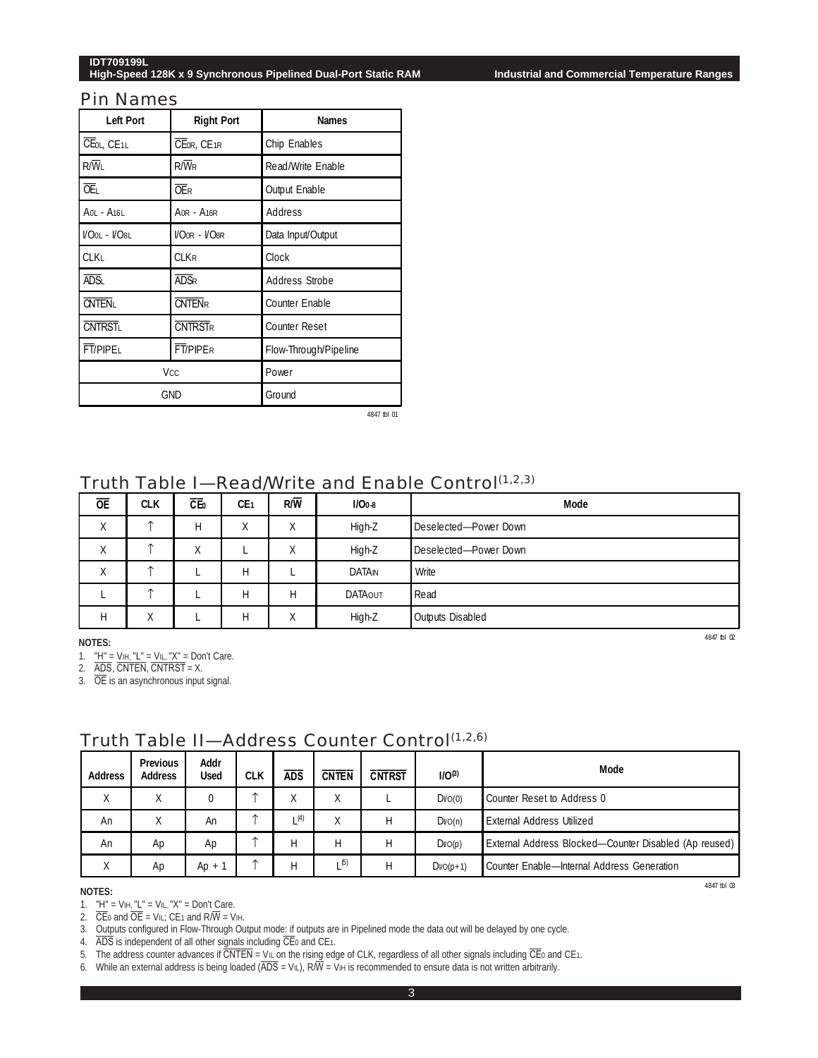#### **IDT709199L High-Speed 128K x 9 Synchronous Pipelined Dual-Port Static RAM Industrial and Commercial Temperature Ranges**

#### Pin Names

| <b>Left Port</b>  | <b>Right Port</b> | <b>Names</b>          |
|-------------------|-------------------|-----------------------|
| CEOL, CE1L        | CEOR, CE1R        | Chip Enables          |
| $R/\overline{W}$  | $R/\overline{W}R$ | Read/Write Enable     |
| <b>OE</b>         | <b>OER</b>        | <b>Output Enable</b>  |
| A01 - A161        | AOR - A16R        | Address               |
| $W$ OOL - $W$ O8L | $WO0R - WO8R$     | Data Input/Output     |
| <b>CLKL</b>       | <b>CLKR</b>       | Clock                 |
| ADS <sub>I</sub>  | <b>ADSR</b>       | <b>Address Strobe</b> |
| <b>CNTEN</b>      | <b>CNTENR</b>     | <b>Counter Enable</b> |
| <b>CNTRSTL</b>    | <b>CNTRSTR</b>    | <b>Counter Reset</b>  |
| <b>FT/PIPEL</b>   | FT/PIPER          | Flow-Through/Pipeline |
|                   | <b>Vcc</b>        | Power                 |
|                   | GND               | Ground                |

4847 tbl 01

### Truth Table I-Read/Write and Enable Control<sup>(1,2,3)</sup>

| <b>OE</b> | <b>CLK</b> | СĒ                | CE <sub>1</sub>   | $R/\overline{W}$ | $I/O0-8$       | Mode                    |
|-----------|------------|-------------------|-------------------|------------------|----------------|-------------------------|
| v<br>∧    | $\uparrow$ | Н                 | $\mathbf{v}$<br>Λ | Χ                | High-Z         | Deselected-Power Down   |
| ⋏         | ᠰ          | $\checkmark$<br>л |                   | Χ                | High-Z         | Deselected-Power Down   |
| v<br>⋏    | ᠰ          |                   | Н                 |                  | DATAN          | Write                   |
|           | $\uparrow$ |                   | Н                 | Н                | <b>DATAOUT</b> | Read                    |
| Н         | χ          |                   | Н                 | χ                | High-Z         | <b>Outputs Disabled</b> |

**NOTES:**

1. "H" = VIH, "L" = VIL, "X" = Don't Care.

2.  $\overline{ADS}$ ,  $\overline{CNTEN}$ ,  $\overline{CNTRST} = X$ .

3. OE is an asynchronous input signal.

| <b>Address</b> | <b>Previous</b><br><b>Address</b> | Addr<br><b>Used</b> | <b>CLK</b> | ads | <b>CNTEN</b> | <b>CNTRST</b> | $I/O^{(3)}$         | Mode                                                  |
|----------------|-----------------------------------|---------------------|------------|-----|--------------|---------------|---------------------|-------------------------------------------------------|
|                |                                   |                     |            |     |              |               |                     |                                                       |
| Χ              | v                                 |                     |            | Χ   | χ            |               | D <sub>V</sub> O(0) | Counter Reset to Address 0                            |
| An             | v<br>∧                            | An                  | ∧          | (4) | Χ            | Н             | D <sub>V</sub> O(n) | <b>External Address Utilized</b>                      |
| An             | Ap                                | Ap                  |            | н   | Н            | н             | DVO(p)              | External Address Blocked—Counter Disabled (Ap reused) |
| Χ              | Ap                                | $Ap + 7$            | 木          | Н   | (5)          |               | $DI/O(p+1)$         | Counter Enable-Internal Address Generation            |

### Truth Table II-Address Counter Control<sup>(1,2,6)</sup>

#### **NOTES:**

1. "H" = VIH, "L" = VIL, "X" = Don't Care.

2.  $CE0$  and  $OE = VIL$ ;  $CE1$  and  $R/W = VIH$ .

3. Outputs configured in Flow-Through Output mode: if outputs are in Pipelined mode the data out will be delayed by one cycle.

4. ADS is independent of all other signals including CE0 and CE1.

5. The address counter advances if CNTEN = VIL on the rising edge of CLK, regardless of all other signals including CE0 and CE1.

6. While an external address is being loaded ( $\overline{ADS} = VIL$ ),  $R\overline{W} = VIH$  is recommended to ensure data is not written arbitrarily.

4847 tbl 02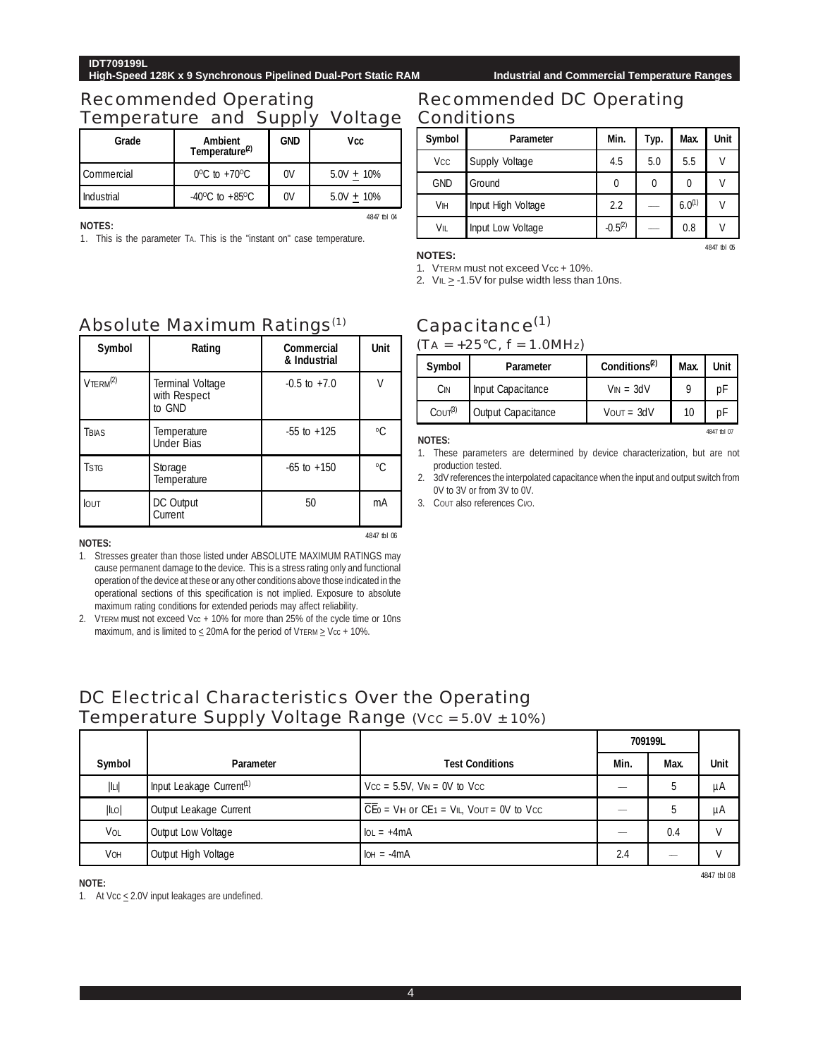**High-Speed 128K x 9 Synchronous Pipelined Dual-Port Static RAM Industrial and Commercial Temperature Ranges**

### Recommended Operating Temperature and Supply Voltage Conditions

| Grade      | <b>Ambient</b><br>Temperature <sup>(2)</sup> | <b>GND</b> | Vcc           |
|------------|----------------------------------------------|------------|---------------|
| Commercial | $0^{\circ}$ C to +70 $^{\circ}$ C            | 0V         | $5.0V + 10\%$ |
| Industrial | $-40^{\circ}$ C to $+85^{\circ}$ C           | 0V         | $5.0V + 10\%$ |

**NOTES:**

1. This is the parameter TA. This is the "instant on" case temperature.

# Recommended DC Operating

| Symbol                | Parameter          | Min.         | Typ.     | Max.        | Unit |
|-----------------------|--------------------|--------------|----------|-------------|------|
| <b>V<sub>CC</sub></b> | Supply Voltage     | 4.5          | 5.0      | 5.5         | V    |
| <b>GND</b>            | Ground             | 0            | $\theta$ | 0           | ٧    |
| Vін                   | Input High Voltage | 2.2          |          | $6.0^{(1)}$ | ٧    |
| VIL                   | Input Low Voltage  | $-0.5^{(2)}$ |          | 0.8         | ٧    |

#### **NOTES:**

4847 tbl 04

4847 tbl 06

1. VTERM must not exceed Vcc + 10%.

2.  $VIL \ge -1.5V$  for pulse width less than 10ns.

## Capacitance<sup>(1)</sup>

 $(TA = +25\degree C, f = 1.0MHz)$ 

| Symbol                          | <b>Parameter</b>          | Conditions <sup>(2)</sup> | Max. | <b>Unit</b> |
|---------------------------------|---------------------------|---------------------------|------|-------------|
| Cin                             | Input Capacitance         | $V_{IN} = 3dV$            |      | рŀ          |
| C <sub>OUT</sub> <sup>(3)</sup> | <b>Output Capacitance</b> | $V$ OUT = $3dV$           | 10   | рŀ          |

#### **NOTES:**

- 1. These parameters are determined by device characterization, but are not production tested.
- 2. 3dV references the interpolated capacitance when the input and output switch from 0V to 3V or from 3V to 0V.
- 3. COUT also references CI/O.

### Absolute Maximum Ratings(1)

| Symbol                   | Rating                                            | Commercial<br>& Industrial | Unit        |
|--------------------------|---------------------------------------------------|----------------------------|-------------|
| $V$ TERM $^{(2)}$        | <b>Terminal Voltage</b><br>with Respect<br>to GND | $-0.5$ to $+7.0$           | ٧           |
| TBIAS                    | Temperature<br><b>Under Bias</b>                  | $-55$ to $+125$            | $\rm ^{0}C$ |
| <b>T</b> st <sub>G</sub> | Storage<br>Temperature                            | $-65$ to $+150$            | $\rm ^{0}C$ |
| <b>IOUT</b>              | DC Output<br>Current                              | 50                         | mA          |

**NOTES:**

1. Stresses greater than those listed under ABSOLUTE MAXIMUM RATINGS may cause permanent damage to the device. This is a stress rating only and functional operation of the device at these or any other conditions above those indicated in the operational sections of this specification is not implied. Exposure to absolute maximum rating conditions for extended periods may affect reliability.

2. VTERM must not exceed Vcc + 10% for more than 25% of the cycle time or 10ns maximum, and is limited to  $\leq$  20mA for the period of VTERM  $\geq$  Vcc + 10%.

### DC Electrical Characteristics Over the Operating Temperature Supply Voltage Range (Vcc = 5.0V ± 10%)

|        |                                      |                                                                                                                                | 709199L |      |      |
|--------|--------------------------------------|--------------------------------------------------------------------------------------------------------------------------------|---------|------|------|
| Symbol | Parameter                            | <b>Test Conditions</b>                                                                                                         | Min.    | Max. | Unit |
| L      | Input Leakage Current <sup>(1)</sup> | $Vcc = 5.5V$ , $V_{IN} = 0V$ to $Vcc$                                                                                          |         |      | μA   |
| ILO    | Output Leakage Current               | $\overline{CE}$ <sub>0</sub> = V <sub>IH</sub> or CE <sub>1</sub> = V <sub>IL</sub> , V <sub>OUT</sub> = 0V to V <sub>CC</sub> |         |      | μA   |
| VOL    | Output Low Voltage                   | $\text{IoL} = +4\text{mA}$                                                                                                     |         | 0.4  |      |
| VOH    | Output High Voltage                  | $IOH = -4mA$                                                                                                                   | 2.4     |      |      |

#### **NOTE:**

1. At Vcc  $\leq$  2.0V input leakages are undefined.

4847 tbl 05

4847 tbl 07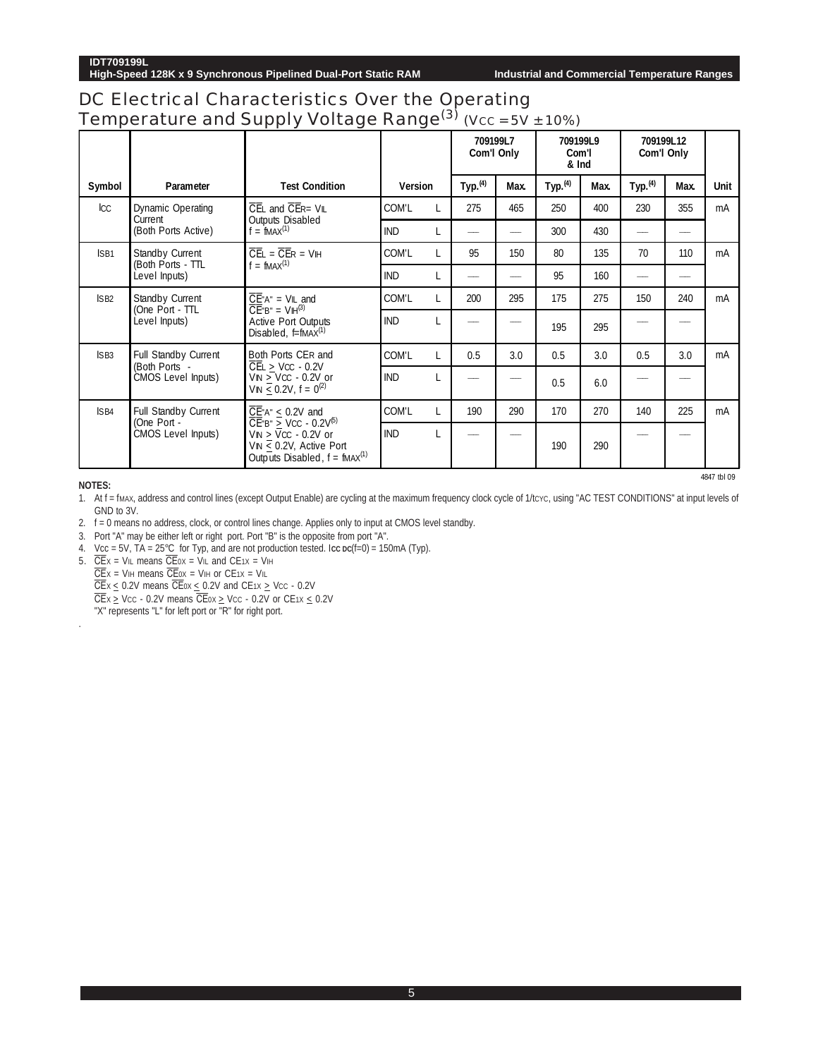### DC Electrical Characteristics Over the Operating Temperature and Supply Voltage Range $^{(3)}$  (Vcc = 5V ± 10%)

|                          |                                       |                                                                                                                                               |                |   |                      | 709199L7<br>Com'l Only | 709199L9<br>Com'l<br>& Ind |      | 709199L12         | Com'l Only |             |
|--------------------------|---------------------------------------|-----------------------------------------------------------------------------------------------------------------------------------------------|----------------|---|----------------------|------------------------|----------------------------|------|-------------------|------------|-------------|
| Symbol                   | Parameter                             | <b>Test Condition</b>                                                                                                                         | <b>Version</b> |   | Type. <sup>(4)</sup> | Max.                   | Type <sub>4</sub>          | Max. | Type <sub>4</sub> | Max.       | <b>Unit</b> |
| $_{\text{ICC}}$          | <b>Dynamic Operating</b><br>Current   | $\overline{C}$ EL and $\overline{C}$ ER= VIL                                                                                                  | COM'L          |   | 275                  | 465                    | 250                        | 400  | 230               | 355        | mA          |
|                          | (Both Ports Active)                   | <b>Outputs Disabled</b><br>$f = fMAX(1)$                                                                                                      | <b>IND</b>     | L |                      |                        | 300                        | 430  |                   |            |             |
| ISB1                     | Standby Current<br>(Both Ports - TTL  | $\overline{CE}$ = $\overline{CE}$ R = VIH                                                                                                     | COM'L          |   | 95                   | 150                    | 80                         | 135  | 70                | 110        | mA          |
|                          | Level Inputs)                         | $f = fMAX(1)$                                                                                                                                 | <b>IND</b>     |   |                      |                        | 95                         | 160  |                   |            |             |
| SB2                      | Standby Current<br>(One Port - TTL    | $\overline{CE}^nA^n = VIL$ and<br>$\overline{CE}$ "B" = $V\mathbb{H}^{(3)}$                                                                   | COM'L          |   | 200                  | 295                    | 175                        | 275  | 150               | 240        | mA          |
|                          | Level Inputs)                         | <b>Active Port Outputs</b><br>Disabled, $f=fMAX^{(1)}$                                                                                        | <b>IND</b>     |   |                      |                        | 195                        | 295  |                   |            |             |
| SB3                      | Full Standby Current<br>(Both Ports - | Both Ports CER and                                                                                                                            | COM'L          |   | 0.5                  | 3.0                    | 0.5                        | 3.0  | 0.5               | 3.0        | mA          |
|                          | CMOS Level Inputs)                    | $\overline{CE}$ > Vcc - 0.2V<br>$VN > VCC - 0.2V$ or<br>$VIN < 0.2V, f = 0^{(2)}$                                                             | <b>IND</b>     |   |                      |                        | 0.5                        | 6.0  |                   |            |             |
| $\overline{\text{1SB4}}$ | <b>Full Standby Current</b>           | $\overline{\text{CE}}$ A" $\leq$ 0.2V and                                                                                                     | COM'L          | L | 190                  | 290                    | 170                        | 270  | 140               | 225        | mA          |
|                          | (One Port -<br>CMOS Level Inputs)     | $\overline{CE}$ "B" > VCC - 0.2V <sup>(5)</sup><br>$VN > VCC - 0.2V$ or<br>VIN $\leq$ 0.2V, Active Port<br>Outputs Disabled, $f = fMAX^{(1)}$ | <b>IND</b>     |   |                      |                        | 190                        | 290  |                   |            |             |

4847 tbl 09

**NOTES:**

.

1. At f = fMAX, address and control lines (except Output Enable) are cycling at the maximum frequency clock cycle of 1/tcvc, using "AC TEST CONDITIONS" at input levels of GND to 3V.

2. f = 0 means no address, clock, or control lines change. Applies only to input at CMOS level standby.

3. Port "A" may be either left or right port. Port "B" is the opposite from port "A".

4. Vcc = 5V, TA = 25°C for Typ, and are not production tested. I**CC DC**(f=0) = 150mA (Typ).

5. CEX = VIL means CE0X = VIL and CE1X = VIH CEX = VIH means CE0X = VIH or CE1X = VIL CE $x \le 0.2V$  means CEox  $\le 0.2V$  and CE1x  $\ge$  Vcc - 0.2V  $\overline{CE}$ x  $\geq$  Vcc - 0.2V means  $\overline{CE}$ ox  $\geq$  Vcc - 0.2V or CE1x  $\leq$  0.2V

"X" represents "L" for left port or "R" for right port.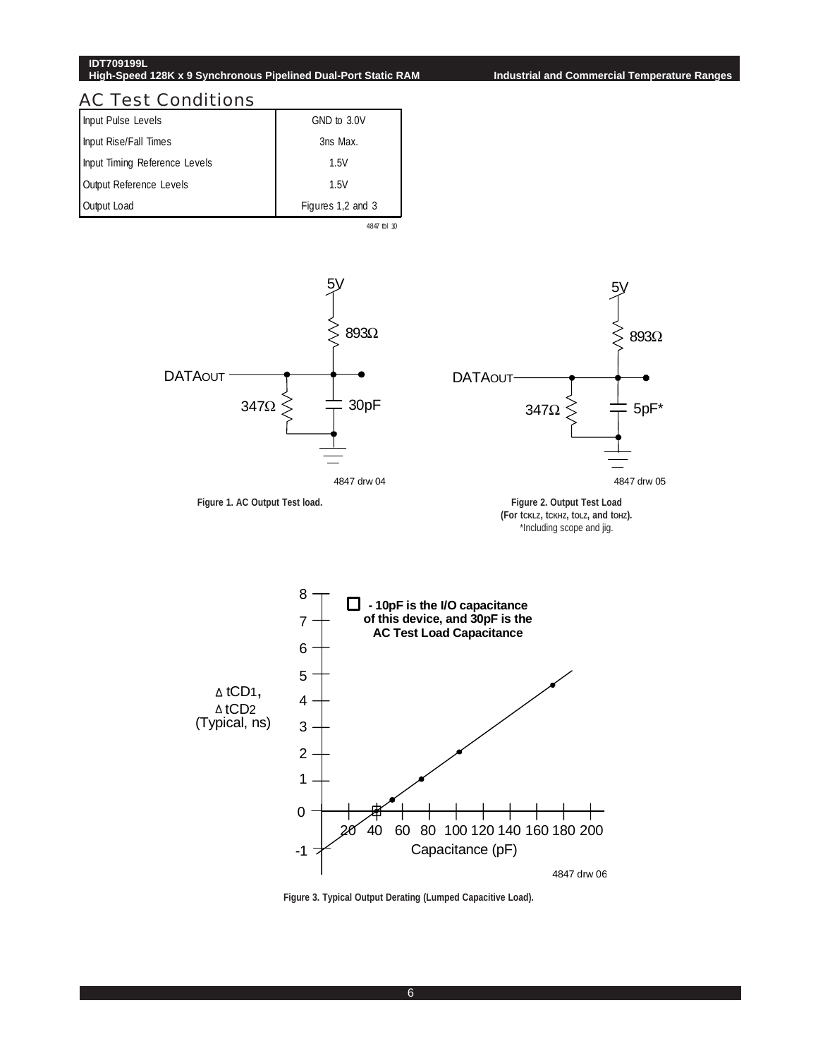#### **IDT709199L High-Speed 128K x 9 Synchronous Pipelined Dual-Port Static RAM Industrial and Commercial Temperature Ranges**

#### AC Test Conditions

| Input Pulse Levels            | GND to 3.0V       |
|-------------------------------|-------------------|
| Input Rise/Fall Times         | 3ns Max.          |
| Input Timing Reference Levels | 1.5V              |
| Output Reference Levels       | 1.5V              |
| Output Load                   | Figures 1,2 and 3 |

4847 tbl 10



**Figure 3. Typical Output Derating (Lumped Capacitive Load).**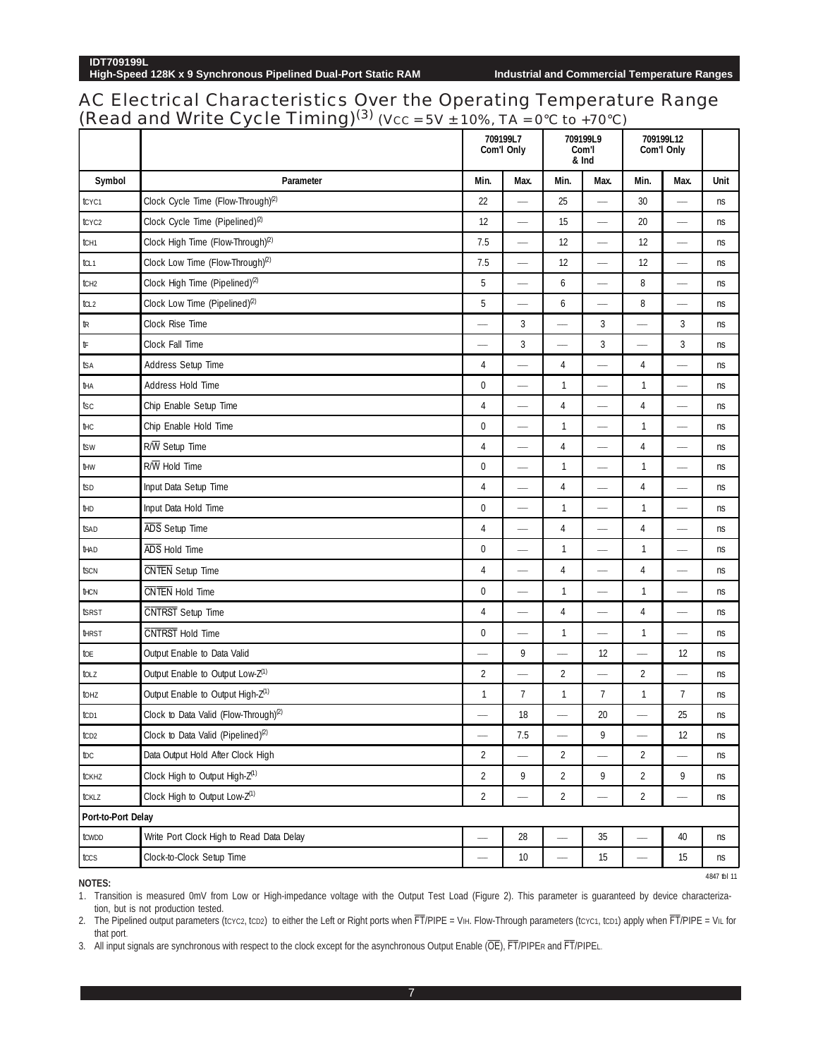### AC Electrical Characteristics Over the Operating Temperature Range (Read and Write Cycle Timing)<sup>(3)</sup> (Vcc = 5V  $\pm$  10%, TA = 0°C to +70°C)

|                    |                                                   |                          | 709199L7<br>Com'l Only   |                          | 709199L9<br>Com'l<br>& Ind | 709199L12<br>Com'l Only         |                          |             |  |
|--------------------|---------------------------------------------------|--------------------------|--------------------------|--------------------------|----------------------------|---------------------------------|--------------------------|-------------|--|
| Symbol             | Parameter                                         | Min.                     | Max.                     | Min.                     | Max.                       | Min.                            | Max.                     | Unit        |  |
| tcyc1              | Clock Cycle Time (Flow-Through) <sup>(2)</sup>    | 22                       | $\overline{\phantom{0}}$ | 25                       | $\overline{\phantom{0}}$   | 30                              | $\overline{\phantom{0}}$ | ns          |  |
| tcyc <sub>2</sub>  | Clock Cycle Time (Pipelined) <sup>(2)</sup>       | 12                       | $\overline{\phantom{0}}$ | 15                       |                            | 20                              |                          | ns          |  |
| tCH <sub>1</sub>   | Clock High Time (Flow-Through) <sup>(2)</sup>     | 7.5                      | $\hspace{0.05cm}$        | 12                       | $\overline{\phantom{0}}$   | 12                              |                          | ns          |  |
| tcl 1              | Clock Low Time (Flow-Through) <sup>(2)</sup>      | 7.5                      |                          | 12                       | $\overline{\phantom{0}}$   | 12                              |                          | ns          |  |
| tch <sub>2</sub>   | Clock High Time (Pipelined) <sup>(2)</sup>        | 5                        | $\overline{\phantom{0}}$ | 6                        | $\overline{\phantom{0}}$   | 8                               | $\overline{\phantom{0}}$ | ns          |  |
| tcL2               | Clock Low Time (Pipelined) <sup>(2)</sup>         | 5                        |                          | 6                        | $\overline{\phantom{0}}$   | 8                               |                          | ns          |  |
| tr                 | Clock Rise Time                                   |                          | 3                        | $\overline{\phantom{0}}$ | 3                          |                                 | 3                        | ns          |  |
| tF                 | Clock Fall Time                                   | $\overline{\phantom{0}}$ | 3                        | $\overline{\phantom{0}}$ | 3                          | $\overline{\phantom{m}}$        | 3                        | ns          |  |
| tsa                | Address Setup Time                                | 4                        | $\overline{\phantom{0}}$ | 4                        | $\overline{\phantom{a}}$   | 4                               | $\overline{\phantom{0}}$ | ns          |  |
| tна                | Address Hold Time                                 | 0                        |                          | $\mathbf{1}$             |                            | 1                               |                          | ns          |  |
| tsc                | Chip Enable Setup Time                            | 4                        | $\overline{\phantom{0}}$ | 4                        | $\overline{\phantom{0}}$   | $\overline{4}$                  |                          | ns          |  |
| tнс                | Chip Enable Hold Time                             | 0                        |                          | $\mathbf{1}$             | $\overline{\phantom{0}}$   | $\mathbf{1}$                    |                          | ns          |  |
| tsw                | R/W Setup Time                                    | 4                        | $\overline{\phantom{0}}$ | $\overline{4}$           |                            | 4                               |                          | ns          |  |
| tнw                | $R/\overline{W}$ Hold Time                        | 0                        |                          | $\mathbf{1}$             | $\overline{\phantom{0}}$   | $\mathbf{1}$                    |                          | ns          |  |
| tsd                | Input Data Setup Time                             | 4                        |                          | 4                        | $\overline{\phantom{a}}$   | 4                               | $\overline{\phantom{0}}$ | ns          |  |
| tнd                | Input Data Hold Time                              | 0                        | $\overline{\phantom{0}}$ | $\mathbf{1}$             | $\overline{\phantom{0}}$   | 1                               | $\overline{\phantom{0}}$ | ns          |  |
| tsad               | ADS Setup Time                                    | 4                        | $\overline{\phantom{a}}$ | 4                        |                            | 4                               |                          | ns          |  |
| thad               | ADS Hold Time                                     | 0                        | $\overline{\phantom{0}}$ | $\mathbf{1}$             | $\overline{\phantom{0}}$   | $\mathbf{1}$                    |                          | ns          |  |
| tscn               | CNTEN Setup Time                                  | 4                        |                          | 4                        | $\overline{\phantom{0}}$   | 4                               | $\overline{\phantom{0}}$ | ns          |  |
| thcn               | CNTEN Hold Time                                   | 0                        |                          | $\mathbf{1}$             | $\overline{\phantom{0}}$   | $\mathbf{1}$                    |                          | ns          |  |
| tsrst              | CNTRST Setup Time                                 | 4                        | $\overline{\phantom{0}}$ | 4                        | $\overline{\phantom{0}}$   | $\overline{4}$                  | $\overline{\phantom{0}}$ | ns          |  |
| <b>THRST</b>       | CNTRST Hold Time                                  | 0                        | $\frac{1}{2}$            | $\mathbf{1}$             | $\overline{\phantom{0}}$   | 1                               |                          | ns          |  |
| toe                | Output Enable to Data Valid                       |                          | 9                        |                          | 12                         |                                 | 12                       | ns          |  |
| tolz               | Output Enable to Output Low-Z <sup>(1)</sup>      | $\overline{2}$           |                          | $\overline{2}$           | $\overline{\phantom{0}}$   | $\overline{2}$                  |                          | ns          |  |
| tohz               | Output Enable to Output High-Z <sup>(1)</sup>     | 1                        | $\overline{7}$           | $\mathbf{1}$             | $\overline{7}$             | 1                               | $\overline{7}$           | ns          |  |
| tc <sub>D1</sub>   | Clock to Data Valid (Flow-Through) <sup>(2)</sup> |                          | 18                       |                          | 20                         |                                 | 25                       | ns          |  |
| tc <sub>D2</sub>   | Clock to Data Valid (Pipelined) <sup>(2)</sup>    |                          | 7.5                      |                          | 9                          |                                 | 12                       | ns          |  |
| tDC                | Data Output Hold After Clock High                 | $\overline{2}$           | $\overline{\phantom{0}}$ | $\overline{2}$           | $\overline{\phantom{0}}$   | $\overline{2}$                  | $\overline{\phantom{0}}$ | ns          |  |
| tckhz              | Clock High to Output High-Z <sup>(1)</sup>        | $\overline{2}$           | 9                        | $\overline{2}$           | 9                          | $\overline{2}$                  | 9                        | ns          |  |
| tcklz              | Clock High to Output Low-Z(1)                     | $\overline{2}$           | $\overline{\phantom{0}}$ | $\overline{2}$           |                            | $\overline{2}$                  | -                        | ns          |  |
| Port-to-Port Delay |                                                   |                          |                          |                          |                            |                                 |                          |             |  |
| towdd              | Write Port Clock High to Read Data Delay          | $\overline{\phantom{0}}$ | 28                       | $\overline{\phantom{0}}$ | 35                         |                                 | 40                       | ns          |  |
| tccs               | Clock-to-Clock Setup Time                         |                          | $10$                     | $\overline{\phantom{m}}$ | 15                         | $\overbrace{\qquad \qquad }^{}$ | 15                       | ns          |  |
| 10T                |                                                   |                          |                          |                          |                            |                                 |                          | 4847 tbl 11 |  |

**NOTES:**

1. Transition is measured 0mV from Low or High-impedance voltage with the Output Test Load (Figure 2). This parameter is guaranteed by device characterization, but is not production tested.

2. The Pipelined output parameters (tcyc2, tcp2) to either the Left or Right ports when FT/PIPE = VIH. Flow-Through parameters (tcyc1, tcp1) apply when FT/PIPE = VIL for that port.

3. All input signals are synchronous with respect to the clock except for the asynchronous Output Enable (OE), FT/PIPER and FT/PIPEL.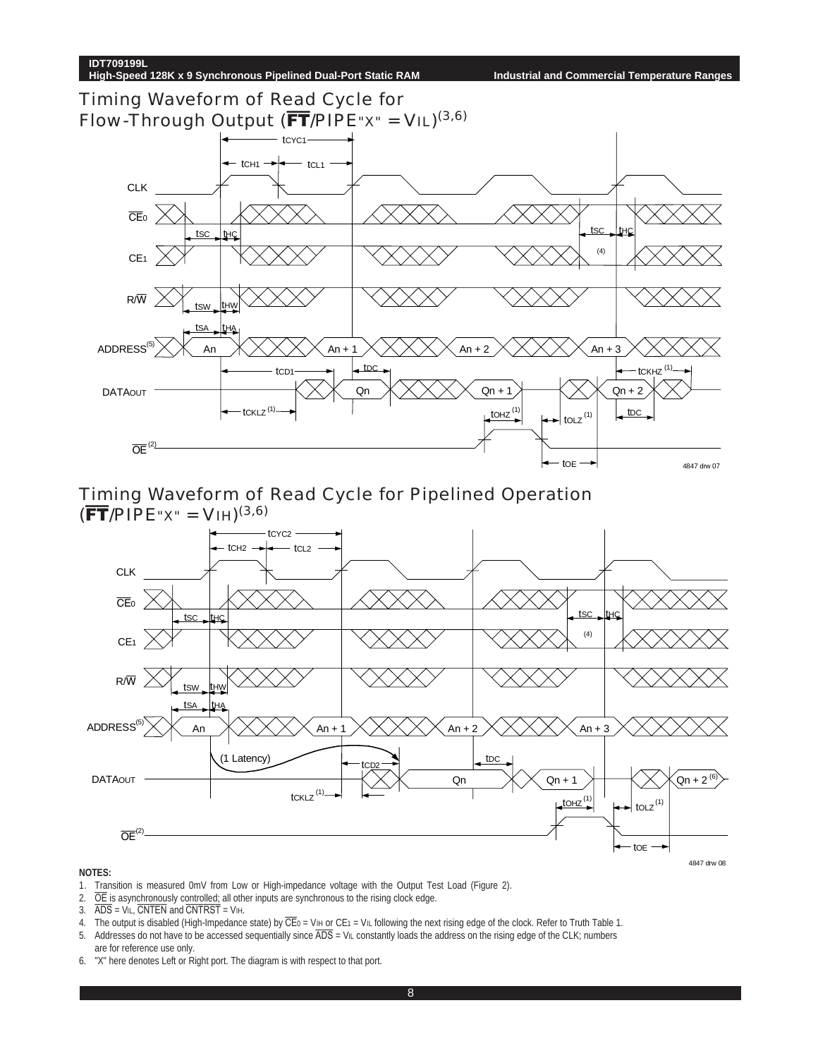Timing Waveform of Read Cycle for Flow-Through Output ( $\overline{FT}/$ PIPE" $X'' = V/L$ )<sup>(3,6)</sup>



Timing Waveform of Read Cycle for Pipelined Operation  $(\overline{FT}/PIPE''x'' = VHH)^{(3,6)}$ 



- 1. Transition is measured 0mV from Low or High-impedance voltage with the Output Test Load (Figure 2).
- 2.  $\overline{OE}$  is asynchronously controlled; all other inputs are synchronous to the rising clock edge.<br>3.  $\overline{ADS} = VIL$ ,  $\overline{CNTEN}$  and  $\overline{CNTRST} = VIH$ .
- $\overline{ADS} = \overline{ViL}$ ,  $\overline{CNTEN}$  and  $\overline{CNTRST} = ViH$ .
- 4. The output is disabled (High-Impedance state) by  $\overline{CE}0 = VH$  or CE1 = VIL following the next rising edge of the clock. Refer to Truth Table 1.
- 5. Addresses do not have to be accessed sequentially since  $\overline{ADS} =$  VIL constantly loads the address on the rising edge of the CLK; numbers
- are for reference use only. 6. "X" here denotes Left or Right port. The diagram is with respect to that port.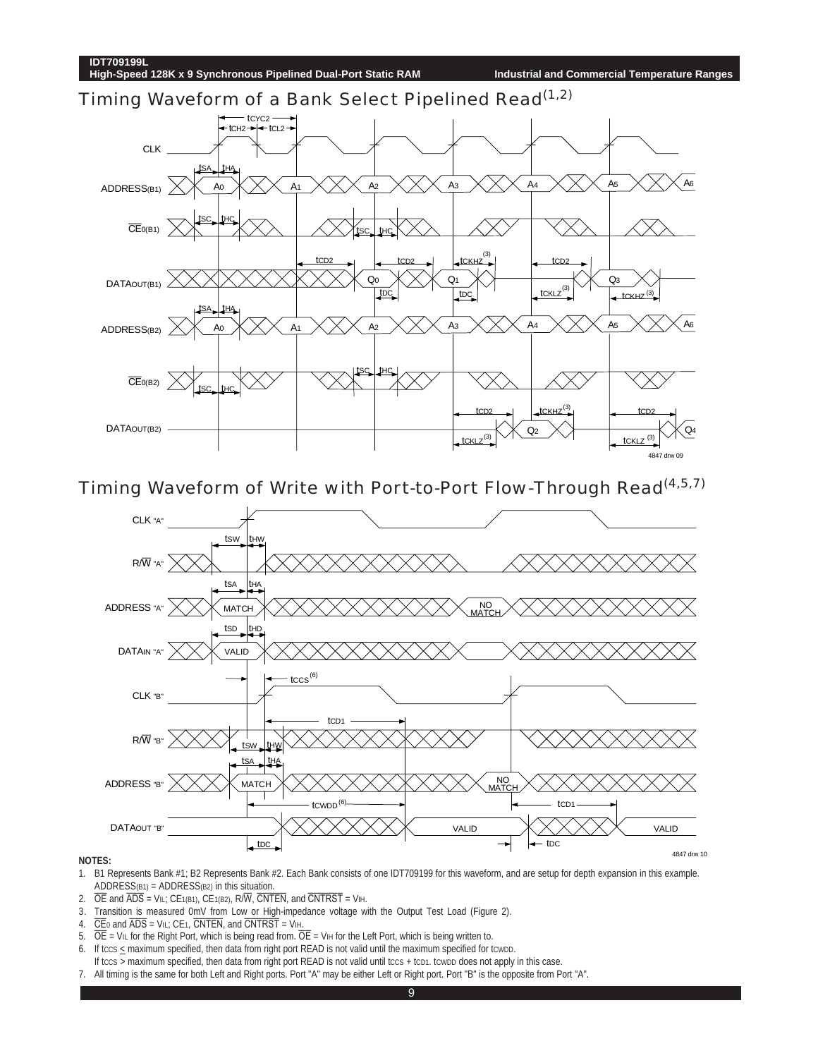Timing Waveform of a Bank Select Pipelined Read<sup>(1,2)</sup>



Timing Waveform of Write with Port-to-Port Flow-Through Read(4,5,7)



- 1. B1 Represents Bank #1; B2 Represents Bank #2. Each Bank consists of one IDT709199 for this waveform, and are setup for depth expansion in this example. ADDRESS( $B1$ ) = ADDRESS( $B2$ ) in this situation.
- 2.  $\overline{OE}$  and  $\overline{ADS}$  = VIL; CE1(B1), CE1(B2), R/W, CNTEN, and CNTRST = VIH.
- 3. Transition is measured 0mV from Low or High-impedance voltage with the Output Test Load (Figure 2).
- 4.  $\overline{CE}$  and  $\overline{ADS}$  = V<sub>IL</sub>; CE<sub>1</sub>,  $\overline{CNTEN}$ , and  $\overline{CNTRST}$  = V<sub>IH</sub>.
- 5.  $\overline{OE}$  = ViL for the Right Port, which is being read from.  $\overline{OE}$  = ViH for the Left Port, which is being written to.
- 6. If tccs  $\leq$  maximum specified, then data from right port READ is not valid until the maximum specified for tcwpp. If tccs > maximum specified, then data from right port READ is not valid until tccs + tcp1. tcwpp does not apply in this case.
- 7. All timing is the same for both Left and Right ports. Port "A" may be either Left or Right port. Port "B" is the opposite from Port "A".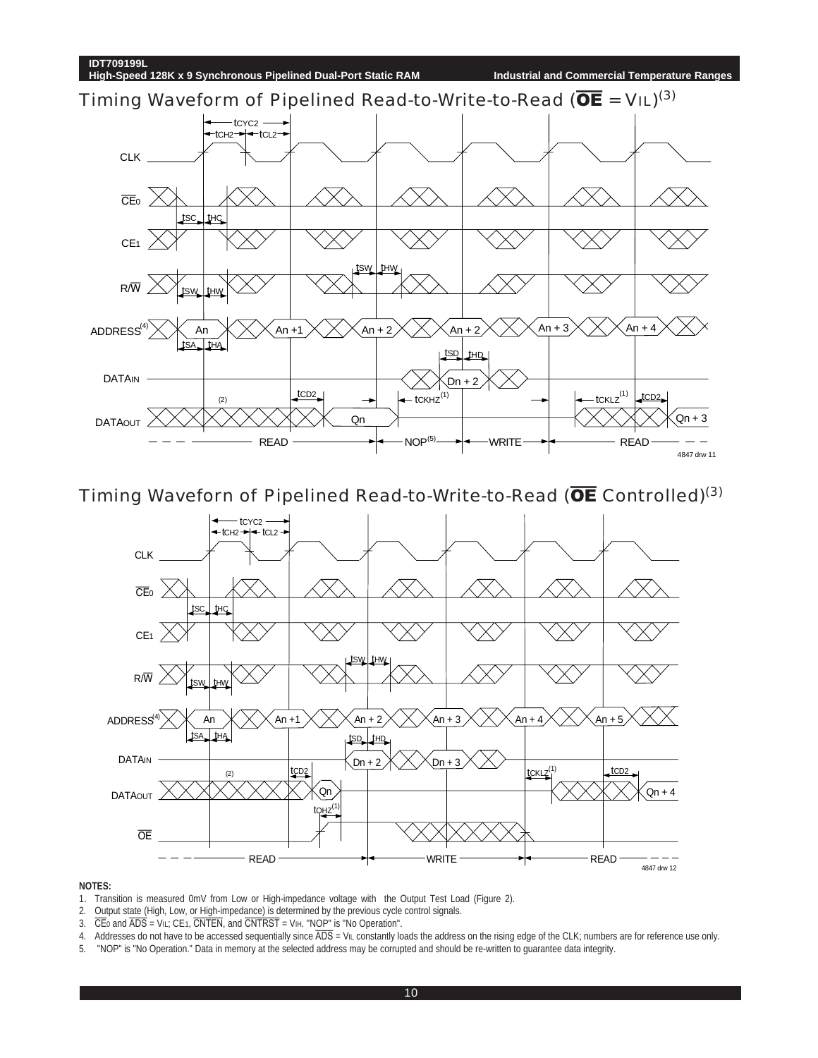

Timing Waveforn of Pipelined Read-to-Write-to-Read (OE Controlled)<sup>(3)</sup>



- 1. Transition is measured 0mV from Low or High-impedance voltage with the Output Test Load (Figure 2).
- 2. Output state (High, Low, or High-impedance) is determined by the previous cycle control signals.
- 3.  $\overline{CE}$  and  $\overline{ADS}$  = V<sub>IL</sub>; CE<sub>1</sub>,  $\overline{CNTEN}$ , and  $\overline{CNTRST}$  = V<sub>IH</sub>. "NOP" is "No Operation".
- 4. Addresses do not have to be accessed sequentially since ADS = VIL constantly loads the address on the rising edge of the CLK; numbers are for reference use only.
- 5. "NOP" is "No Operation." Data in memory at the selected address may be corrupted and should be re-written to guarantee data integrity.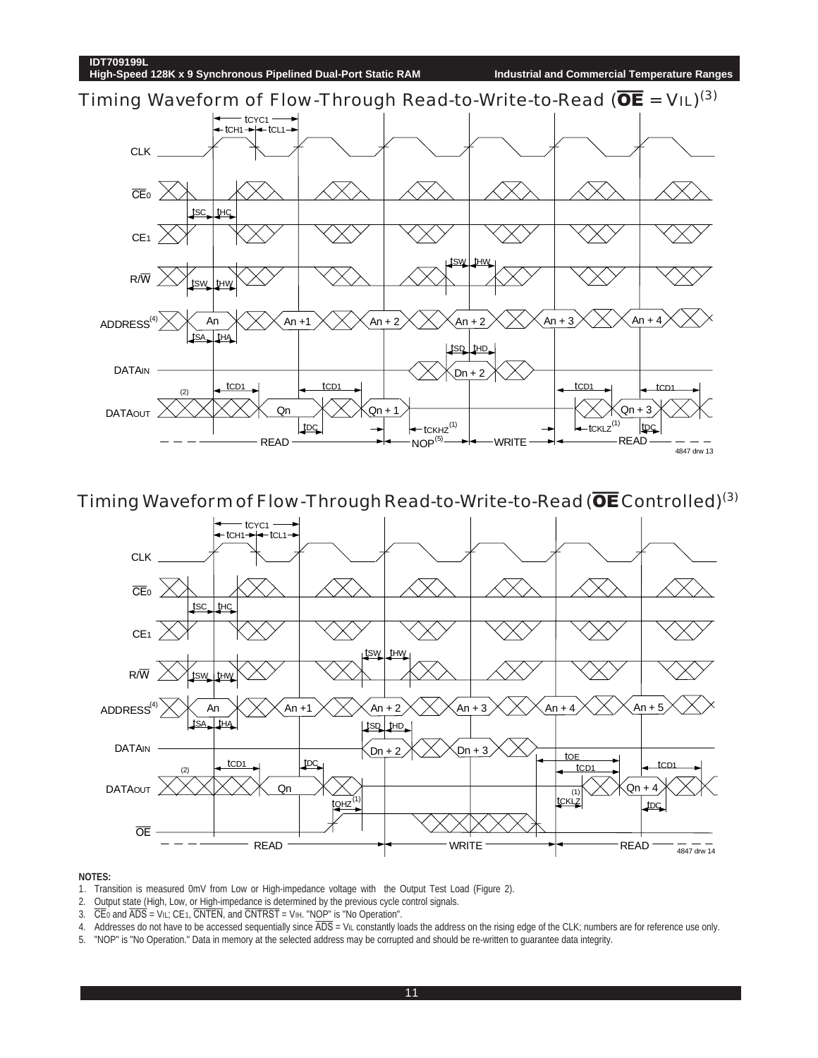

Timing Waveform of Flow-Through Read-to-Write-to-Read ( $\overline{\text{OE}}$  Controlled)<sup>(3)</sup>



- 1. Transition is measured 0mV from Low or High-impedance voltage with the Output Test Load (Figure 2).
- 2. Output state (High, Low, or High-impedance is determined by the previous cycle control signals.
- 3.  $\overline{CE}$  and  $\overline{ADS}$  = V<sub>IL;</sub> CE<sub>1</sub>,  $\overline{CNTEN}$ , and  $\overline{CNTRST}$  = V<sub>IH</sub>. "NOP" is "No Operation".
- 4. Addresses do not have to be accessed sequentially since  $\overline{ADS} = V_{IL}$  constantly loads the address on the rising edge of the CLK; numbers are for reference use only.
- 5. "NOP" is "No Operation." Data in memory at the selected address may be corrupted and should be re-written to guarantee data integrity.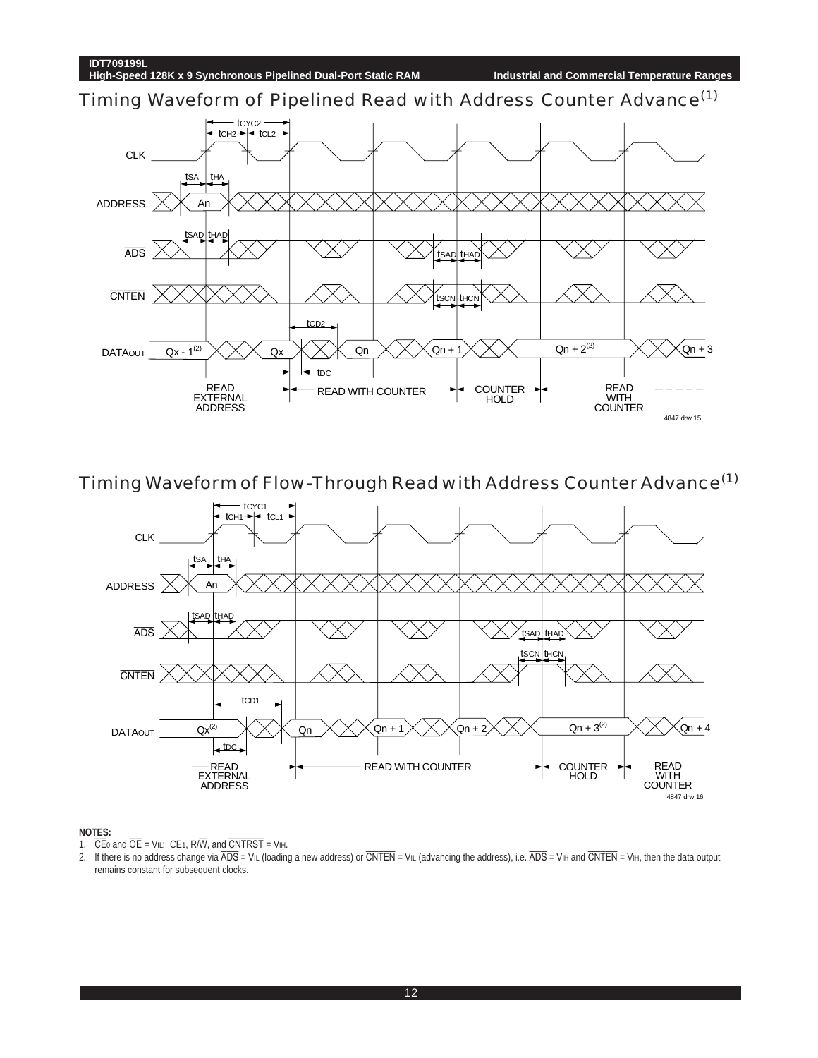Timing Waveform of Pipelined Read with Address Counter Advance<sup>(1)</sup>



Timing Waveform of Flow-Through Read with Address Counter Advance(1)



- 1.  $\overline{CE}$  and  $\overline{OE}$  = VIL;  $CE$ 1, R/ $\overline{W}$ , and  $\overline{CNTRST}$  = VIH.
- 2. If there is no address change via  $\overline{ADS}$  = VIL (loading a new address) or  $\overline{CNTEN}$  = VIL (advancing the address), i.e.  $\overline{ADS}$  = VIH and  $\overline{CNTEN}$  = VIH, then the data output remains constant for subsequent clocks.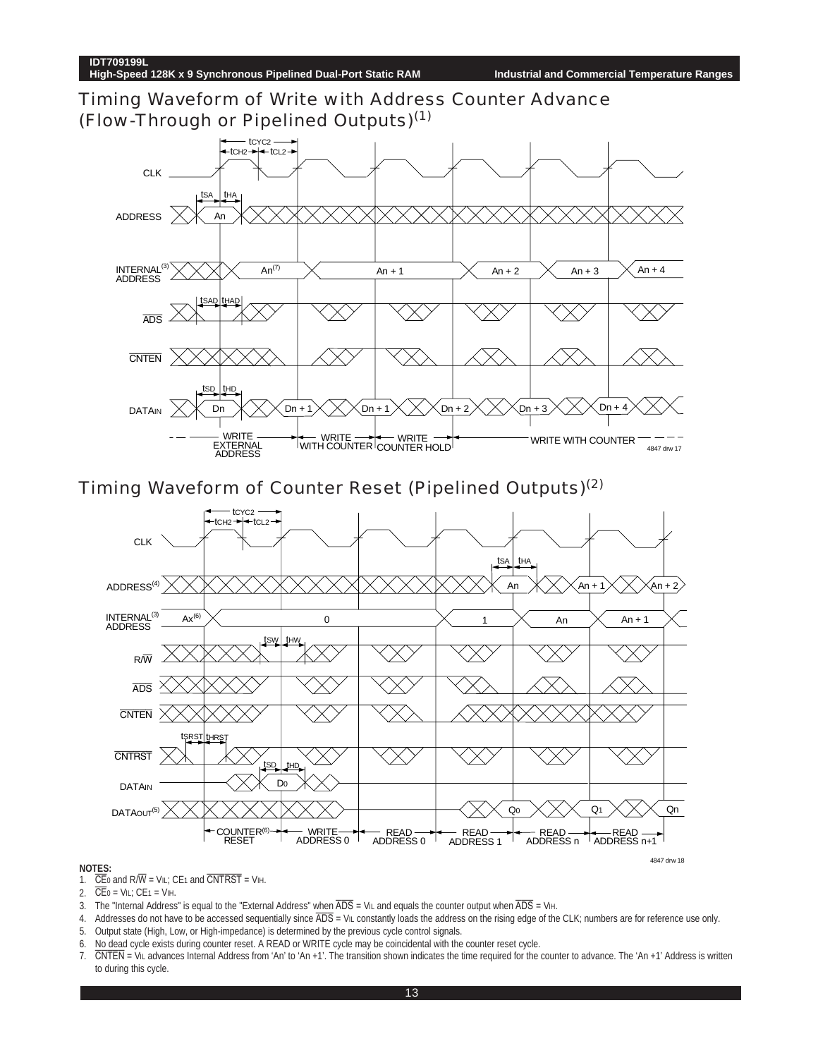Timing Waveform of Write with Address Counter Advance (Flow-Through or Pipelined Outputs)(1)



Timing Waveform of Counter Reset (Pipelined Outputs)(2)



- 1.  $\overline{CE}$  and R/ $\overline{W}$  = V<sub>IL</sub>; CE<sub>1</sub> and  $\overline{CNTRST}$  = V<sub>IH</sub>.
- 2.  $\overline{\text{CE}}$ 0 = VIL; CE1 = VIH.
- 3. The "Internal Address" is equal to the "External Address" when  $\overline{ADS} = VIL$  and equals the counter output when  $\overline{ADS} = VIL$
- 4. Addresses do not have to be accessed sequentially since  $\overline{ADS} =$  VIL constantly loads the address on the rising edge of the CLK; numbers are for reference use only. 5. Output state (High, Low, or High-impedance) is determined by the previous cycle control signals.
- 6. No dead cycle exists during counter reset. A READ or WRITE cycle may be coincidental with the counter reset cycle.
- 7. CNTEN = VIL advances Internal Address from 'An' to 'An +1'. The transition shown indicates the time required for the counter to advance. The 'An +1' Address is written to during this cycle.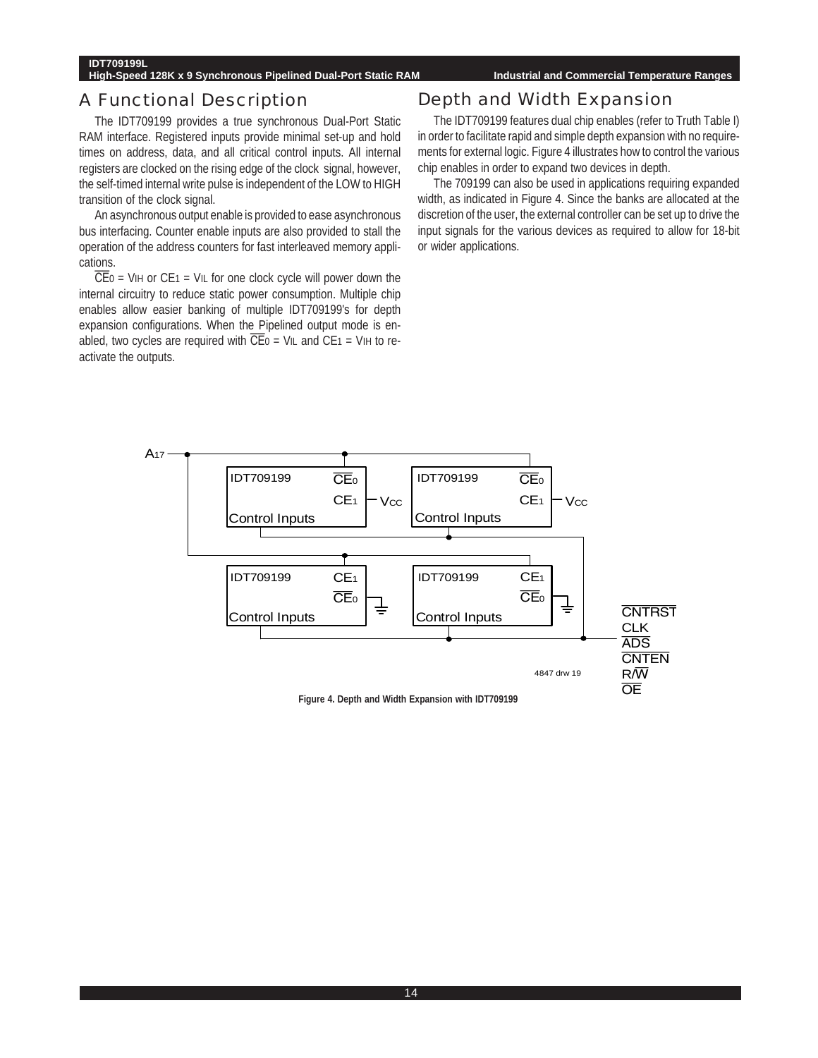#### **High-Speed 128K x 9 Synchronous Pipelined Dual-Port Static RAM Industrial and Commercial Temperature Ranges**

### A Functional Description

The IDT709199 provides a true synchronous Dual-Port Static RAM interface. Registered inputs provide minimal set-up and hold times on address, data, and all critical control inputs. All internal registers are clocked on the rising edge of the clock signal, however, the self-timed internal write pulse is independent of the LOW to HIGH transition of the clock signal.

An asynchronous output enable is provided to ease asynchronous bus interfacing. Counter enable inputs are also provided to stall the operation of the address counters for fast interleaved memory applications.

 $\overline{CE}$ 0 = VIH or CE1 = VIL for one clock cycle will power down the internal circuitry to reduce static power consumption. Multiple chip enables allow easier banking of multiple IDT709199's for depth expansion configurations. When the Pipelined output mode is enabled, two cycles are required with  $\overline{CE}$ <sub>0</sub> = V<sub>IL</sub> and CE<sub>1</sub> = V<sub>IH</sub> to reactivate the outputs.

### Depth and Width Expansion

The IDT709199 features dual chip enables (refer to Truth Table I) in order to facilitate rapid and simple depth expansion with no requirements for external logic. Figure 4 illustrates how to control the various chip enables in order to expand two devices in depth.

The 709199 can also be used in applications requiring expanded width, as indicated in Figure 4. Since the banks are allocated at the discretion of the user, the external controller can be set up to drive the input signals for the various devices as required to allow for 18-bit or wider applications.



**Figure 4. Depth and Width Expansion with IDT709199**